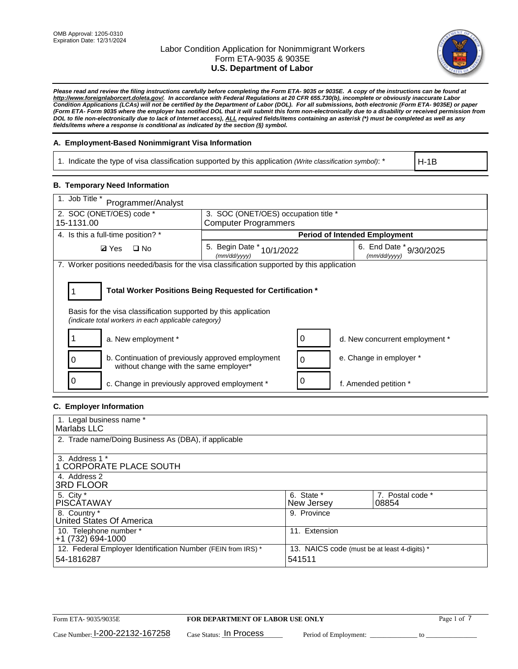

*Please read and review the filing instructions carefully before completing the Form ETA- 9035 or 9035E. A copy of the instructions can be found at http://www.foreignlaborcert.doleta.gov/. In accordance with Federal Regulations at 20 CFR 655.730(b), incomplete or obviously inaccurate Labor Condition Applications (LCAs) will not be certified by the Department of Labor (DOL). For all submissions, both electronic (Form ETA- 9035E) or paper (Form ETA- Form 9035 where the employer has notified DOL that it will submit this form non-electronically due to a disability or received permission from DOL to file non-electronically due to lack of Internet access), ALL required fields/items containing an asterisk (\*) must be completed as well as any fields/items where a response is conditional as indicated by the section (§) symbol.* 

## **A. Employment-Based Nonimmigrant Visa Information**

1. Indicate the type of visa classification supported by this application *(Write classification symbol)*: \*

H-1B

### **B. Temporary Need Information**

| 1. Job Title *<br>Programmer/Analyst                                                                                                                                                  |                                           |   |                                         |  |  |  |
|---------------------------------------------------------------------------------------------------------------------------------------------------------------------------------------|-------------------------------------------|---|-----------------------------------------|--|--|--|
| 2. SOC (ONET/OES) code *                                                                                                                                                              | 3. SOC (ONET/OES) occupation title *      |   |                                         |  |  |  |
| 15-1131.00                                                                                                                                                                            | <b>Computer Programmers</b>               |   |                                         |  |  |  |
| 4. Is this a full-time position? *                                                                                                                                                    | <b>Period of Intended Employment</b>      |   |                                         |  |  |  |
| <b>Ø</b> Yes<br>$\Box$ No                                                                                                                                                             | 5. Begin Date * 10/1/2022<br>(mm/dd/yyyy) |   | 6. End Date * 9/30/2025<br>(mm/dd/vvvv) |  |  |  |
| 7. Worker positions needed/basis for the visa classification supported by this application                                                                                            |                                           |   |                                         |  |  |  |
| Total Worker Positions Being Requested for Certification *<br>Basis for the visa classification supported by this application<br>(indicate total workers in each applicable category) |                                           |   |                                         |  |  |  |
| a. New employment *                                                                                                                                                                   |                                           | 0 | d. New concurrent employment *          |  |  |  |
| b. Continuation of previously approved employment<br>without change with the same employer*                                                                                           |                                           | 0 | e. Change in employer *                 |  |  |  |
| c. Change in previously approved employment *                                                                                                                                         |                                           |   | f. Amended petition *                   |  |  |  |

## **C. Employer Information**

| 1. Legal business name *                                                   |                                                        |                           |
|----------------------------------------------------------------------------|--------------------------------------------------------|---------------------------|
| Marlabs LLC                                                                |                                                        |                           |
| 2. Trade name/Doing Business As (DBA), if applicable                       |                                                        |                           |
| 3. Address 1 *<br>1 CORPORATE PLACE SOUTH<br>4. Address 2                  |                                                        |                           |
| <b>3RD FLOOR</b>                                                           |                                                        |                           |
| 5. City *<br><b>PISCÁTAWAY</b>                                             | 6. State *<br>New Jersey                               | 7. Postal code *<br>08854 |
| 8. Country *<br>United States Of America                                   | 9. Province                                            |                           |
| 10. Telephone number *<br>$+1(732)694-1000$                                | 11. Extension                                          |                           |
| 12. Federal Employer Identification Number (FEIN from IRS) *<br>54-1816287 | 13. NAICS code (must be at least 4-digits) *<br>541511 |                           |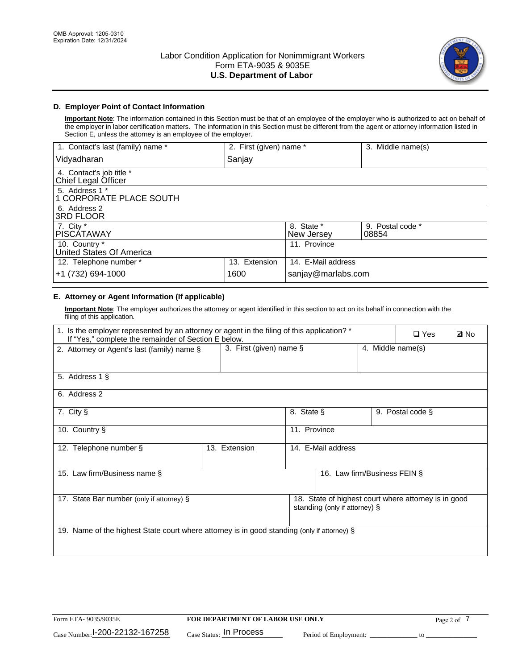

# **D. Employer Point of Contact Information**

**Important Note**: The information contained in this Section must be that of an employee of the employer who is authorized to act on behalf of the employer in labor certification matters. The information in this Section must be different from the agent or attorney information listed in Section E, unless the attorney is an employee of the employer.

| 1. Contact's last (family) name *               | 2. First (given) name * |                          | 3. Middle name(s)         |
|-------------------------------------------------|-------------------------|--------------------------|---------------------------|
| Vidyadharan                                     | Sanjay                  |                          |                           |
| 4. Contact's job title *<br>Chief Legal Officer |                         |                          |                           |
| 5. Address 1 *<br>1 CORPORATE PLACE SOUTH       |                         |                          |                           |
| 6. Address 2<br><b>3RD FLOOR</b>                |                         |                          |                           |
| 7. City *<br><b>PISCÁTAWAY</b>                  |                         | 8. State *<br>New Jersey | 9. Postal code *<br>08854 |
| 10. Country *<br>United States Of America       |                         | 11. Province             |                           |
| 12. Telephone number *                          | 13. Extension           | 14. E-Mail address       |                           |
| +1 (732) 694-1000                               | 1600                    | sanjay@marlabs.com       |                           |

## **E. Attorney or Agent Information (If applicable)**

**Important Note**: The employer authorizes the attorney or agent identified in this section to act on its behalf in connection with the filing of this application.

| 1. Is the employer represented by an attorney or agent in the filing of this application? *<br>If "Yes," complete the remainder of Section E below. |                         |              |                               |                   | $\Box$ Yes                                           | <b>ØNo</b> |
|-----------------------------------------------------------------------------------------------------------------------------------------------------|-------------------------|--------------|-------------------------------|-------------------|------------------------------------------------------|------------|
| 2. Attorney or Agent's last (family) name §                                                                                                         | 3. First (given) name § |              |                               | 4. Middle name(s) |                                                      |            |
| 5. Address 1 §                                                                                                                                      |                         |              |                               |                   |                                                      |            |
| 6. Address 2                                                                                                                                        |                         |              |                               |                   |                                                      |            |
| 7. City §                                                                                                                                           |                         | 8. State §   |                               |                   | 9. Postal code §                                     |            |
| 10. Country §                                                                                                                                       |                         | 11. Province |                               |                   |                                                      |            |
| 12. Telephone number §                                                                                                                              | 13. Extension           |              | 14. E-Mail address            |                   |                                                      |            |
| 15. Law firm/Business name §                                                                                                                        |                         |              | 16. Law firm/Business FEIN §  |                   |                                                      |            |
| 17. State Bar number (only if attorney) §                                                                                                           |                         |              | standing (only if attorney) § |                   | 18. State of highest court where attorney is in good |            |
| 19. Name of the highest State court where attorney is in good standing (only if attorney) §                                                         |                         |              |                               |                   |                                                      |            |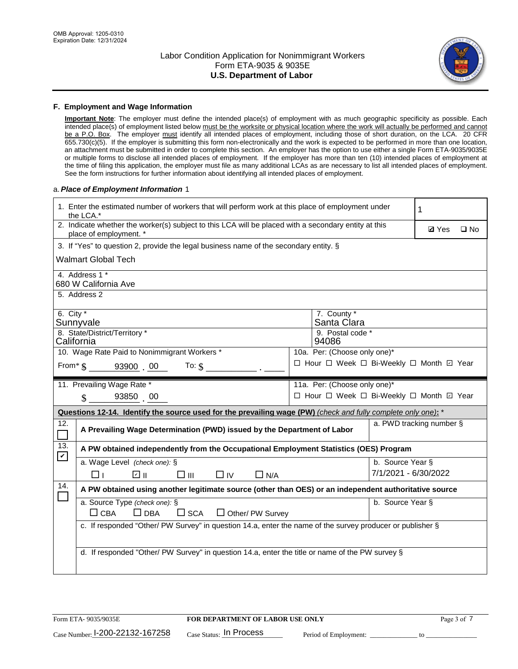

### **F. Employment and Wage Information**

**Important Note**: The employer must define the intended place(s) of employment with as much geographic specificity as possible. Each intended place(s) of employment listed below must be the worksite or physical location where the work will actually be performed and cannot be a P.O. Box. The employer must identify all intended places of employment, including those of short duration, on the LCA. 20 CFR 655.730(c)(5). If the employer is submitting this form non-electronically and the work is expected to be performed in more than one location, an attachment must be submitted in order to complete this section. An employer has the option to use either a single Form ETA-9035/9035E or multiple forms to disclose all intended places of employment. If the employer has more than ten (10) intended places of employment at the time of filing this application, the employer must file as many additional LCAs as are necessary to list all intended places of employment. See the form instructions for further information about identifying all intended places of employment.

### a.*Place of Employment Information* 1

|                                                                                          | 1. Enter the estimated number of workers that will perform work at this place of employment under<br>the LCA.*                 |  | 1                                        |                      |                          |              |  |
|------------------------------------------------------------------------------------------|--------------------------------------------------------------------------------------------------------------------------------|--|------------------------------------------|----------------------|--------------------------|--------------|--|
|                                                                                          | 2. Indicate whether the worker(s) subject to this LCA will be placed with a secondary entity at this<br>place of employment. * |  |                                          |                      | <b>Ø</b> Yes             | $\square$ No |  |
|                                                                                          | 3. If "Yes" to question 2, provide the legal business name of the secondary entity. §                                          |  |                                          |                      |                          |              |  |
|                                                                                          | <b>Walmart Global Tech</b>                                                                                                     |  |                                          |                      |                          |              |  |
|                                                                                          | 4. Address 1 *<br>680 W California Ave                                                                                         |  |                                          |                      |                          |              |  |
|                                                                                          | 5. Address 2                                                                                                                   |  |                                          |                      |                          |              |  |
|                                                                                          | 6. City $*$<br>7. County *<br>Sunnyvale<br>Santa Clara<br>8. State/District/Territory *<br>9. Postal code *                    |  |                                          |                      |                          |              |  |
| California<br>94086                                                                      |                                                                                                                                |  |                                          |                      |                          |              |  |
| 10. Wage Rate Paid to Nonimmigrant Workers *<br>10a. Per: (Choose only one)*             |                                                                                                                                |  |                                          |                      |                          |              |  |
| □ Hour □ Week □ Bi-Weekly □ Month 回 Year<br>From * \$ 93900 00<br>To: $\hat{\mathbf{S}}$ |                                                                                                                                |  |                                          |                      |                          |              |  |
|                                                                                          | 11. Prevailing Wage Rate *                                                                                                     |  | 11a. Per: (Choose only one)*             |                      |                          |              |  |
|                                                                                          | 93850 00<br>$\mathbf{\hat{S}}$                                                                                                 |  | □ Hour □ Week □ Bi-Weekly □ Month 回 Year |                      |                          |              |  |
|                                                                                          | Questions 12-14. Identify the source used for the prevailing wage (PW) (check and fully complete only one): *                  |  |                                          |                      |                          |              |  |
| 12.                                                                                      | A Prevailing Wage Determination (PWD) issued by the Department of Labor                                                        |  |                                          |                      | a. PWD tracking number § |              |  |
| 13.                                                                                      | A PW obtained independently from the Occupational Employment Statistics (OES) Program                                          |  |                                          |                      |                          |              |  |
| $\blacktriangledown$                                                                     | a. Wage Level (check one): §                                                                                                   |  |                                          | b. Source Year §     |                          |              |  |
|                                                                                          | ☑ ॥<br>$\square$ $\square$<br>$\Box$ IV<br>Пт<br>$\Box$ N/A                                                                    |  |                                          | 7/1/2021 - 6/30/2022 |                          |              |  |
| 14.                                                                                      | A PW obtained using another legitimate source (other than OES) or an independent authoritative source                          |  |                                          |                      |                          |              |  |
|                                                                                          | a. Source Type (check one): §<br>b. Source Year §<br>$\Box$ CBA<br>$\Box$ DBA<br>$\square$ SCA<br>$\Box$ Other/ PW Survey      |  |                                          |                      |                          |              |  |
|                                                                                          | c. If responded "Other/ PW Survey" in question 14.a, enter the name of the survey producer or publisher §                      |  |                                          |                      |                          |              |  |
|                                                                                          | d. If responded "Other/ PW Survey" in question 14.a, enter the title or name of the PW survey §                                |  |                                          |                      |                          |              |  |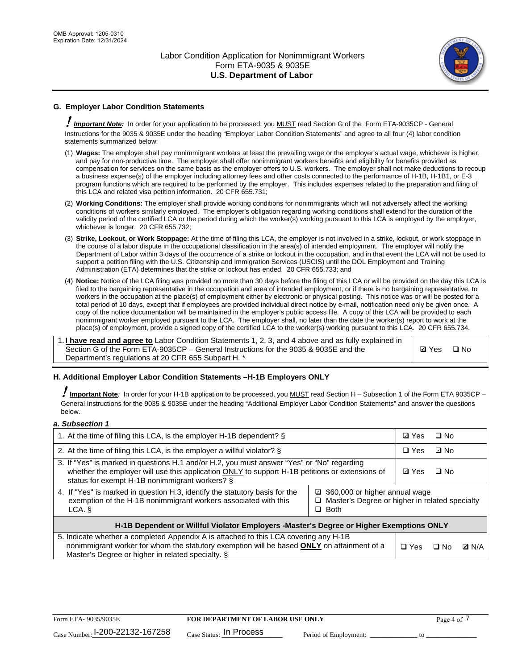

# **G. Employer Labor Condition Statements**

! *Important Note:* In order for your application to be processed, you MUST read Section G of the Form ETA-9035CP - General Instructions for the 9035 & 9035E under the heading "Employer Labor Condition Statements" and agree to all four (4) labor condition statements summarized below:

- (1) **Wages:** The employer shall pay nonimmigrant workers at least the prevailing wage or the employer's actual wage, whichever is higher, and pay for non-productive time. The employer shall offer nonimmigrant workers benefits and eligibility for benefits provided as compensation for services on the same basis as the employer offers to U.S. workers. The employer shall not make deductions to recoup a business expense(s) of the employer including attorney fees and other costs connected to the performance of H-1B, H-1B1, or E-3 program functions which are required to be performed by the employer. This includes expenses related to the preparation and filing of this LCA and related visa petition information. 20 CFR 655.731;
- (2) **Working Conditions:** The employer shall provide working conditions for nonimmigrants which will not adversely affect the working conditions of workers similarly employed. The employer's obligation regarding working conditions shall extend for the duration of the validity period of the certified LCA or the period during which the worker(s) working pursuant to this LCA is employed by the employer, whichever is longer. 20 CFR 655.732;
- (3) **Strike, Lockout, or Work Stoppage:** At the time of filing this LCA, the employer is not involved in a strike, lockout, or work stoppage in the course of a labor dispute in the occupational classification in the area(s) of intended employment. The employer will notify the Department of Labor within 3 days of the occurrence of a strike or lockout in the occupation, and in that event the LCA will not be used to support a petition filing with the U.S. Citizenship and Immigration Services (USCIS) until the DOL Employment and Training Administration (ETA) determines that the strike or lockout has ended. 20 CFR 655.733; and
- (4) **Notice:** Notice of the LCA filing was provided no more than 30 days before the filing of this LCA or will be provided on the day this LCA is filed to the bargaining representative in the occupation and area of intended employment, or if there is no bargaining representative, to workers in the occupation at the place(s) of employment either by electronic or physical posting. This notice was or will be posted for a total period of 10 days, except that if employees are provided individual direct notice by e-mail, notification need only be given once. A copy of the notice documentation will be maintained in the employer's public access file. A copy of this LCA will be provided to each nonimmigrant worker employed pursuant to the LCA. The employer shall, no later than the date the worker(s) report to work at the place(s) of employment, provide a signed copy of the certified LCA to the worker(s) working pursuant to this LCA. 20 CFR 655.734.

1. **I have read and agree to** Labor Condition Statements 1, 2, 3, and 4 above and as fully explained in Section G of the Form ETA-9035CP – General Instructions for the 9035 & 9035E and the Department's regulations at 20 CFR 655 Subpart H. \*

**Ø**Yes ロNo

### **H. Additional Employer Labor Condition Statements –H-1B Employers ONLY**

!**Important Note***:* In order for your H-1B application to be processed, you MUST read Section H – Subsection 1 of the Form ETA 9035CP – General Instructions for the 9035 & 9035E under the heading "Additional Employer Labor Condition Statements" and answer the questions below.

#### *a. Subsection 1*

| 1. At the time of filing this LCA, is the employer H-1B dependent? §                                                                                                                                                                                          | ⊡ Yes | □ No       |           |              |
|---------------------------------------------------------------------------------------------------------------------------------------------------------------------------------------------------------------------------------------------------------------|-------|------------|-----------|--------------|
| 2. At the time of filing this LCA, is the employer a willful violator? $\S$                                                                                                                                                                                   |       | $\Box$ Yes | ⊡ No      |              |
| 3. If "Yes" is marked in questions H.1 and/or H.2, you must answer "Yes" or "No" regarding<br>whether the employer will use this application ONLY to support H-1B petitions or extensions of<br>status for exempt H-1B nonimmigrant workers? §                |       |            | $\Box$ No |              |
| 4. If "Yes" is marked in question H.3, identify the statutory basis for the<br>■ \$60,000 or higher annual wage<br>exemption of the H-1B nonimmigrant workers associated with this<br>□ Master's Degree or higher in related specialty<br>$\Box$ Both<br>LCA. |       |            |           |              |
| H-1B Dependent or Willful Violator Employers -Master's Degree or Higher Exemptions ONLY                                                                                                                                                                       |       |            |           |              |
| 5. Indicate whether a completed Appendix A is attached to this LCA covering any H-1B<br>nonimmigrant worker for whom the statutory exemption will be based <b>ONLY</b> on attainment of a<br>Master's Degree or higher in related specialty. §                |       |            | ⊡ No      | <b>D</b> N/A |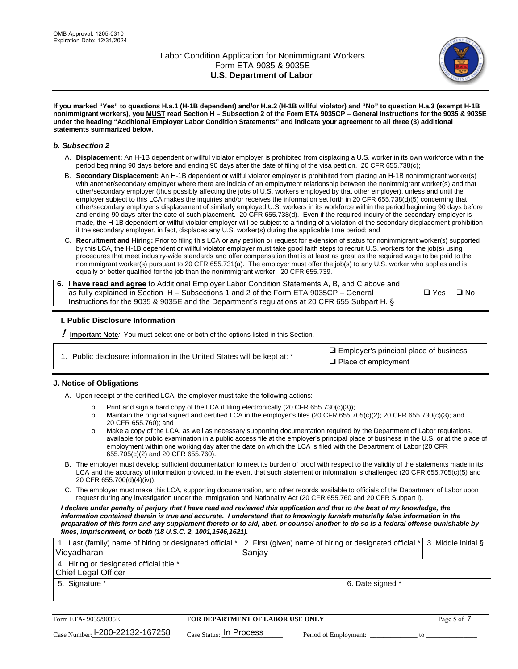

**If you marked "Yes" to questions H.a.1 (H-1B dependent) and/or H.a.2 (H-1B willful violator) and "No" to question H.a.3 (exempt H-1B nonimmigrant workers), you MUST read Section H – Subsection 2 of the Form ETA 9035CP – General Instructions for the 9035 & 9035E under the heading "Additional Employer Labor Condition Statements" and indicate your agreement to all three (3) additional statements summarized below.**

### *b. Subsection 2*

- A. **Displacement:** An H-1B dependent or willful violator employer is prohibited from displacing a U.S. worker in its own workforce within the period beginning 90 days before and ending 90 days after the date of filing of the visa petition. 20 CFR 655.738(c);
- B. **Secondary Displacement:** An H-1B dependent or willful violator employer is prohibited from placing an H-1B nonimmigrant worker(s) with another/secondary employer where there are indicia of an employment relationship between the nonimmigrant worker(s) and that other/secondary employer (thus possibly affecting the jobs of U.S. workers employed by that other employer), unless and until the employer subject to this LCA makes the inquiries and/or receives the information set forth in 20 CFR 655.738(d)(5) concerning that other/secondary employer's displacement of similarly employed U.S. workers in its workforce within the period beginning 90 days before and ending 90 days after the date of such placement. 20 CFR 655.738(d). Even if the required inquiry of the secondary employer is made, the H-1B dependent or willful violator employer will be subject to a finding of a violation of the secondary displacement prohibition if the secondary employer, in fact, displaces any U.S. worker(s) during the applicable time period; and
- C. **Recruitment and Hiring:** Prior to filing this LCA or any petition or request for extension of status for nonimmigrant worker(s) supported by this LCA, the H-1B dependent or willful violator employer must take good faith steps to recruit U.S. workers for the job(s) using procedures that meet industry-wide standards and offer compensation that is at least as great as the required wage to be paid to the nonimmigrant worker(s) pursuant to 20 CFR 655.731(a). The employer must offer the job(s) to any U.S. worker who applies and is equally or better qualified for the job than the nonimmigrant worker. 20 CFR 655.739.

| 6. I have read and agree to Additional Employer Labor Condition Statements A, B, and C above and |       |      |
|--------------------------------------------------------------------------------------------------|-------|------|
| as fully explained in Section H – Subsections 1 and 2 of the Form ETA 9035CP – General           | □ Yes | ⊟ No |
| Instructions for the 9035 & 9035 E and the Department's regulations at 20 CFR 655 Subpart H. §   |       |      |

### **I. Public Disclosure Information**

! **Important Note***:* You must select one or both of the options listed in this Section.

|  | 1. Public disclosure information in the United States will be kept at: * |  |  |  |
|--|--------------------------------------------------------------------------|--|--|--|
|  |                                                                          |  |  |  |

**sqrt** Employer's principal place of business □ Place of employment

### **J. Notice of Obligations**

A. Upon receipt of the certified LCA, the employer must take the following actions:

- o Print and sign a hard copy of the LCA if filing electronically (20 CFR 655.730(c)(3));<br>
Maintain the original signed and certified LCA in the employer's files (20 CFR 655.7
- Maintain the original signed and certified LCA in the employer's files (20 CFR 655.705(c)(2); 20 CFR 655.730(c)(3); and 20 CFR 655.760); and
- o Make a copy of the LCA, as well as necessary supporting documentation required by the Department of Labor regulations, available for public examination in a public access file at the employer's principal place of business in the U.S. or at the place of employment within one working day after the date on which the LCA is filed with the Department of Labor (20 CFR 655.705(c)(2) and 20 CFR 655.760).
- B. The employer must develop sufficient documentation to meet its burden of proof with respect to the validity of the statements made in its LCA and the accuracy of information provided, in the event that such statement or information is challenged (20 CFR 655.705(c)(5) and 20 CFR 655.700(d)(4)(iv)).
- C. The employer must make this LCA, supporting documentation, and other records available to officials of the Department of Labor upon request during any investigation under the Immigration and Nationality Act (20 CFR 655.760 and 20 CFR Subpart I).

*I declare under penalty of perjury that I have read and reviewed this application and that to the best of my knowledge, the*  information contained therein is true and accurate. I understand that to knowingly furnish materially false information in the *preparation of this form and any supplement thereto or to aid, abet, or counsel another to do so is a federal offense punishable by fines, imprisonment, or both (18 U.S.C. 2, 1001,1546,1621).*

| 1. Last (family) name of hiring or designated official *   2. First (given) name of hiring or designated official *   3. Middle initial §<br>Vidyadharan | Saniav           |  |
|----------------------------------------------------------------------------------------------------------------------------------------------------------|------------------|--|
| 4. Hiring or designated official title *<br>Chief Legal Officer                                                                                          |                  |  |
| 5. Signature *                                                                                                                                           | 6. Date signed * |  |

| Form ETA-9035/9035E                         | <b>FOR DEPARTMENT OF LABOR USE ONLY</b> |                       |  |
|---------------------------------------------|-----------------------------------------|-----------------------|--|
| $_{\text{Case Number:}}$ I-200-22132-167258 | $_{\rm Case~S status:}$ In Process      | Period of Employment: |  |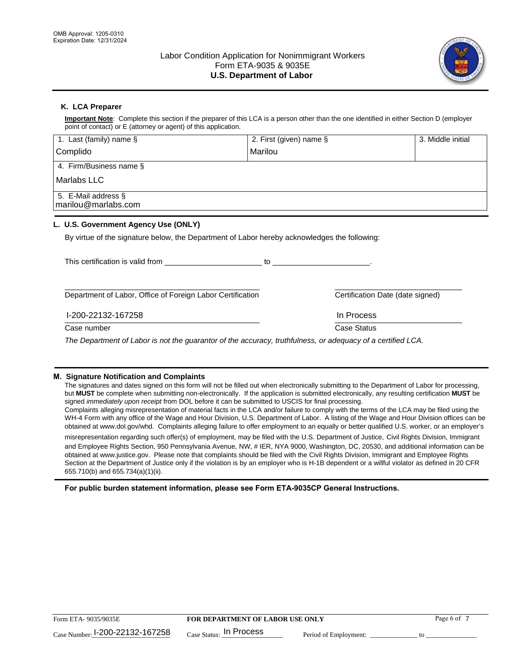

# **K. LCA Preparer**

**Important Note**: Complete this section if the preparer of this LCA is a person other than the one identified in either Section D (employer point of contact) or E (attorney or agent) of this application.

| 1. Last (family) name $\S$                                                                   | 2. First (given) name §                                                                                                                                                                                                       | 3. Middle initial                |
|----------------------------------------------------------------------------------------------|-------------------------------------------------------------------------------------------------------------------------------------------------------------------------------------------------------------------------------|----------------------------------|
| Complido                                                                                     | Marilou                                                                                                                                                                                                                       |                                  |
| 4. Firm/Business name §                                                                      |                                                                                                                                                                                                                               |                                  |
| Marlabs LLC                                                                                  |                                                                                                                                                                                                                               |                                  |
| 5. E-Mail address §<br>marilou@marlabs.com                                                   |                                                                                                                                                                                                                               |                                  |
| L. U.S. Government Agency Use (ONLY)                                                         |                                                                                                                                                                                                                               |                                  |
| By virtue of the signature below, the Department of Labor hereby acknowledges the following: |                                                                                                                                                                                                                               |                                  |
| This certification is valid from This certification                                          | $10$ . The contract of the contract of the contract of the contract of the contract of the contract of the contract of the contract of the contract of the contract of the contract of the contract of the contract of the co |                                  |
| Department of Labor, Office of Foreign Labor Certification                                   |                                                                                                                                                                                                                               | Certification Date (date signed) |
| I-200-22132-167258                                                                           | In Process                                                                                                                                                                                                                    |                                  |

 $\frac{1111100688}{1111100688}$ Case number **Case Status** Case Status **Case Status** 

*The Department of Labor is not the guarantor of the accuracy, truthfulness, or adequacy of a certified LCA.*

### **M. Signature Notification and Complaints**

The signatures and dates signed on this form will not be filled out when electronically submitting to the Department of Labor for processing, but **MUST** be complete when submitting non-electronically. If the application is submitted electronically, any resulting certification **MUST** be signed *immediately upon receipt* from DOL before it can be submitted to USCIS for final processing.

Complaints alleging misrepresentation of material facts in the LCA and/or failure to comply with the terms of the LCA may be filed using the WH-4 Form with any office of the Wage and Hour Division, U.S. Department of Labor. A listing of the Wage and Hour Division offices can be obtained at www.dol.gov/whd. Complaints alleging failure to offer employment to an equally or better qualified U.S. worker, or an employer's

misrepresentation regarding such offer(s) of employment, may be filed with the U.S. Department of Justice, Civil Rights Division, Immigrant and Employee Rights Section, 950 Pennsylvania Avenue, NW, # IER, NYA 9000, Washington, DC, 20530, and additional information can be obtained at www.justice.gov. Please note that complaints should be filed with the Civil Rights Division, Immigrant and Employee Rights Section at the Department of Justice only if the violation is by an employer who is H-1B dependent or a willful violator as defined in 20 CFR 655.710(b) and 655.734(a)(1)(ii).

**For public burden statement information, please see Form ETA-9035CP General Instructions.**

| Form ETA-9035/9035E             | <b>FOR DEPARTMENT OF LABOR USE ONLY</b> | Page 6 of             |  |
|---------------------------------|-----------------------------------------|-----------------------|--|
| Case Number: 1-200-22132-167258 | $_{\text{Case Status:}}$ In Process     | Period of Employment: |  |